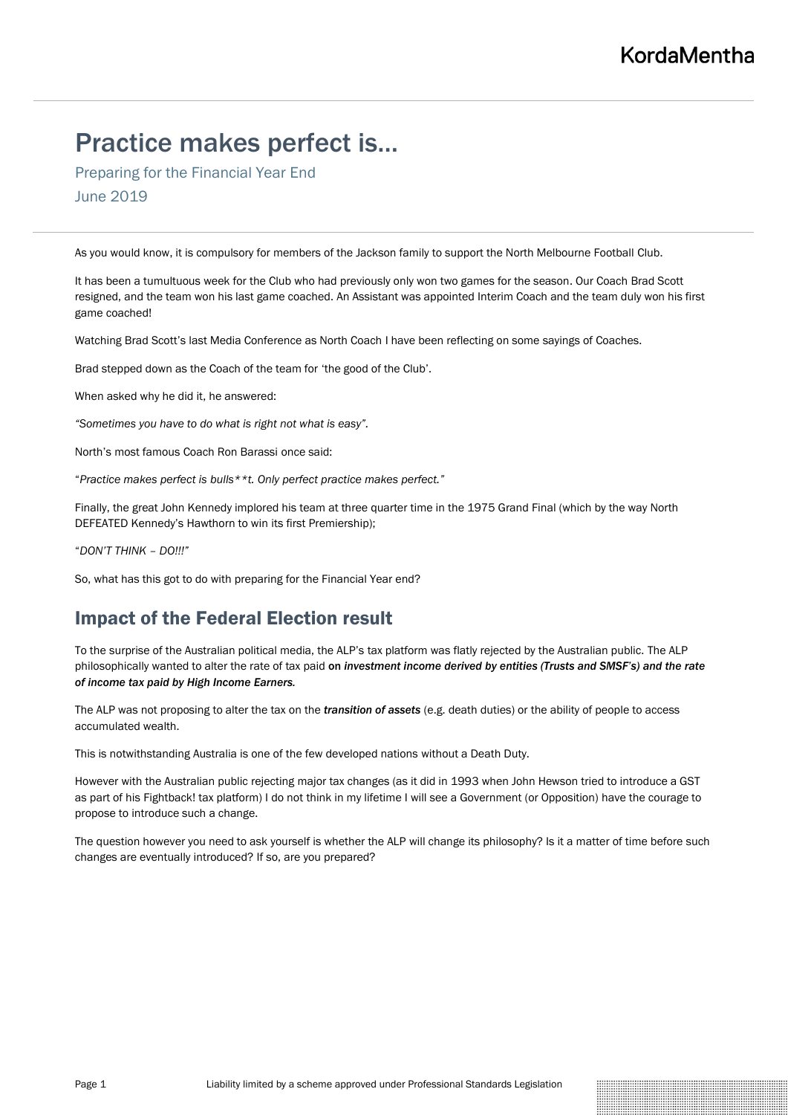# Practice makes perfect is…

Preparing for the Financial Year End June 2019

As you would know, it is compulsory for members of the Jackson family to support the North Melbourne Football Club.

It has been a tumultuous week for the Club who had previously only won two games for the season. Our Coach Brad Scott resigned, and the team won his last game coached. An Assistant was appointed Interim Coach and the team duly won his first game coached!

Watching Brad Scott's last Media Conference as North Coach I have been reflecting on some sayings of Coaches.

Brad stepped down as the Coach of the team for 'the good of the Club'.

When asked why he did it, he answered:

*"Sometimes you have to do what is right not what is easy".*

North's most famous Coach Ron Barassi once said:

"*Practice makes perfect is bulls\*\*t. Only perfect practice makes perfect."*

Finally, the great John Kennedy implored his team at three quarter time in the 1975 Grand Final (which by the way North DEFEATED Kennedy's Hawthorn to win its first Premiership);

"*DON'T THINK – DO!!!"*

So, what has this got to do with preparing for the Financial Year end?

### Impact of the Federal Election result

To the surprise of the Australian political media, the ALP's tax platform was flatly rejected by the Australian public. The ALP philosophically wanted to alter the rate of tax paid on *investment income derived by entities (Trusts and SMSF's) and the rate of income tax paid by High Income Earners.*

The ALP was not proposing to alter the tax on the *transition of assets* (e.g. death duties) or the ability of people to access accumulated wealth.

This is notwithstanding Australia is one of the few developed nations without a Death Duty.

However with the Australian public rejecting major tax changes (as it did in 1993 when John Hewson tried to introduce a GST as part of his Fightback! tax platform) I do not think in my lifetime I will see a Government (or Opposition) have the courage to propose to introduce such a change.

The question however you need to ask yourself is whether the ALP will change its philosophy? Is it a matter of time before such changes are eventually introduced? If so, are you prepared?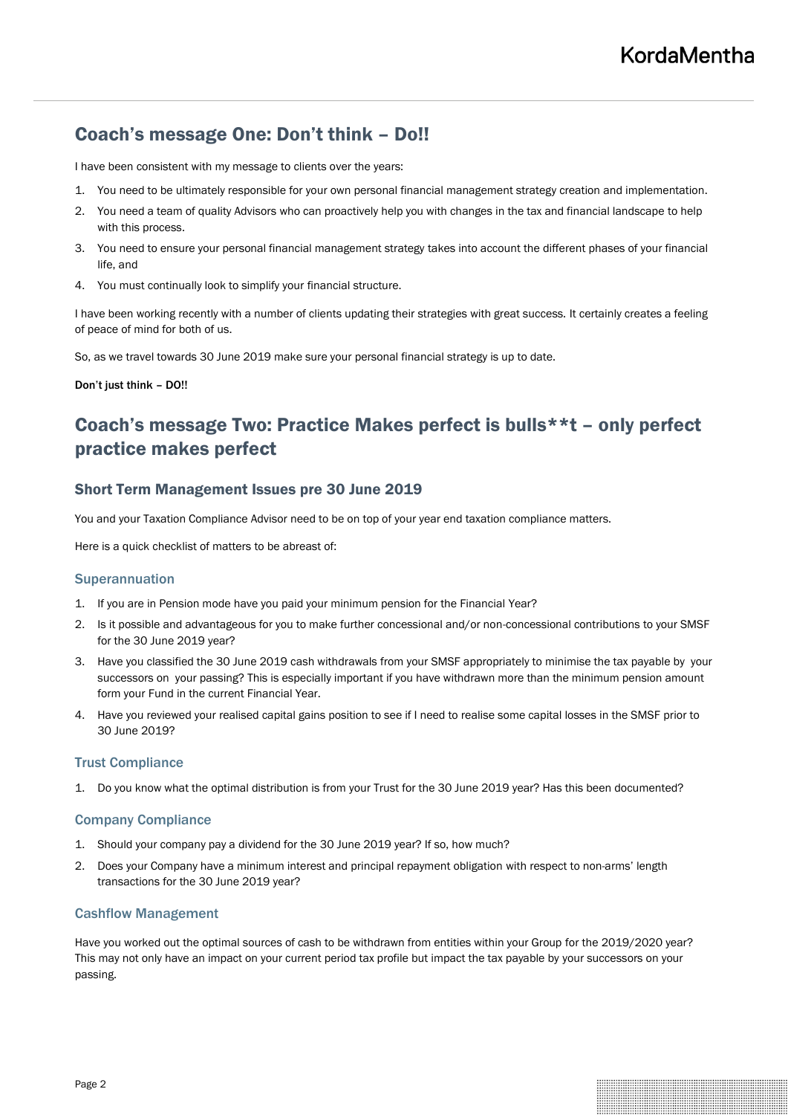# Coach's message One: Don't think – Do!!

I have been consistent with my message to clients over the years:

- 1. You need to be ultimately responsible for your own personal financial management strategy creation and implementation.
- 2. You need a team of quality Advisors who can proactively help you with changes in the tax and financial landscape to help with this process.
- 3. You need to ensure your personal financial management strategy takes into account the different phases of your financial life, and
- 4. You must continually look to simplify your financial structure.

I have been working recently with a number of clients updating their strategies with great success. It certainly creates a feeling of peace of mind for both of us.

So, as we travel towards 30 June 2019 make sure your personal financial strategy is up to date.

Don't just think – DO!!

# Coach's message Two: Practice Makes perfect is bulls\*\*t – only perfect practice makes perfect

### Short Term Management Issues pre 30 June 2019

You and your Taxation Compliance Advisor need to be on top of your year end taxation compliance matters.

Here is a quick checklist of matters to be abreast of:

#### **Superannuation**

- 1. If you are in Pension mode have you paid your minimum pension for the Financial Year?
- 2. Is it possible and advantageous for you to make further concessional and/or non-concessional contributions to your SMSF for the 30 June 2019 year?
- 3. Have you classified the 30 June 2019 cash withdrawals from your SMSF appropriately to minimise the tax payable by your successors on your passing? This is especially important if you have withdrawn more than the minimum pension amount form your Fund in the current Financial Year.
- 4. Have you reviewed your realised capital gains position to see if I need to realise some capital losses in the SMSF prior to 30 June 2019?

#### Trust Compliance

1. Do you know what the optimal distribution is from your Trust for the 30 June 2019 year? Has this been documented?

#### Company Compliance

- 1. Should your company pay a dividend for the 30 June 2019 year? If so, how much?
- 2. Does your Company have a minimum interest and principal repayment obligation with respect to non-arms' length transactions for the 30 June 2019 year?

#### Cashflow Management

Have you worked out the optimal sources of cash to be withdrawn from entities within your Group for the 2019/2020 year? This may not only have an impact on your current period tax profile but impact the tax payable by your successors on your passing.